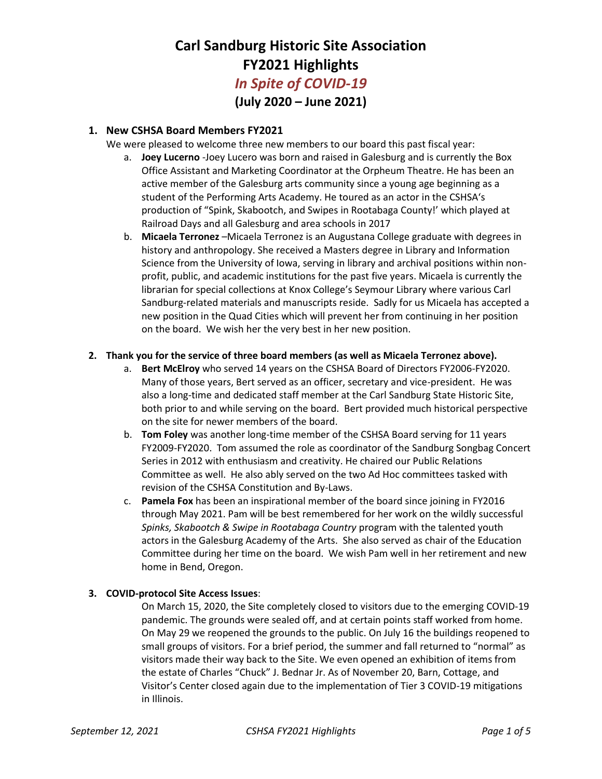# **Carl Sandburg Historic Site Association FY2021 Highlights** *In Spite of COVID-19* **(July 2020 – June 2021)**

## **1. New CSHSA Board Members FY2021**

We were pleased to welcome three new members to our board this past fiscal year:

- a. **Joey Lucerno** -Joey Lucero was born and raised in Galesburg and is currently the Box Office Assistant and Marketing Coordinator at the Orpheum Theatre. He has been an active member of the Galesburg arts community since a young age beginning as a student of the Performing Arts Academy. He toured as an actor in the CSHSA's production of "Spink, Skabootch, and Swipes in Rootabaga County!' which played at Railroad Days and all Galesburg and area schools in 2017
- b. **Micaela Terronez** –Micaela Terronez is an Augustana College graduate with degrees in history and anthropology. She received a Masters degree in Library and Information Science from the University of Iowa, serving in library and archival positions within nonprofit, public, and academic institutions for the past five years. Micaela is currently the librarian for special collections at Knox College's Seymour Library where various Carl Sandburg-related materials and manuscripts reside. Sadly for us Micaela has accepted a new position in the Quad Cities which will prevent her from continuing in her position on the board. We wish her the very best in her new position.

#### **2. Thank you for the service of three board members (as well as Micaela Terronez above).**

- a. **Bert McElroy** who served 14 years on the CSHSA Board of Directors FY2006-FY2020. Many of those years, Bert served as an officer, secretary and vice-president. He was also a long-time and dedicated staff member at the Carl Sandburg State Historic Site, both prior to and while serving on the board. Bert provided much historical perspective on the site for newer members of the board.
- b. **Tom Foley** was another long-time member of the CSHSA Board serving for 11 years FY2009-FY2020. Tom assumed the role as coordinator of the Sandburg Songbag Concert Series in 2012 with enthusiasm and creativity. He chaired our Public Relations Committee as well. He also ably served on the two Ad Hoc committees tasked with revision of the CSHSA Constitution and By-Laws.
- c. **Pamela Fox** has been an inspirational member of the board since joining in FY2016 through May 2021. Pam will be best remembered for her work on the wildly successful *Spinks, Skabootch & Swipe in Rootabaga Country* program with the talented youth actors in the Galesburg Academy of the Arts. She also served as chair of the Education Committee during her time on the board. We wish Pam well in her retirement and new home in Bend, Oregon.

## **3. COVID-protocol Site Access Issues**:

On March 15, 2020, the Site completely closed to visitors due to the emerging COVID-19 pandemic. The grounds were sealed off, and at certain points staff worked from home. On May 29 we reopened the grounds to the public. On July 16 the buildings reopened to small groups of visitors. For a brief period, the summer and fall returned to "normal" as visitors made their way back to the Site. We even opened an exhibition of items from the estate of Charles "Chuck" J. Bednar Jr. As of November 20, Barn, Cottage, and Visitor's Center closed again due to the implementation of Tier 3 COVID-19 mitigations in Illinois.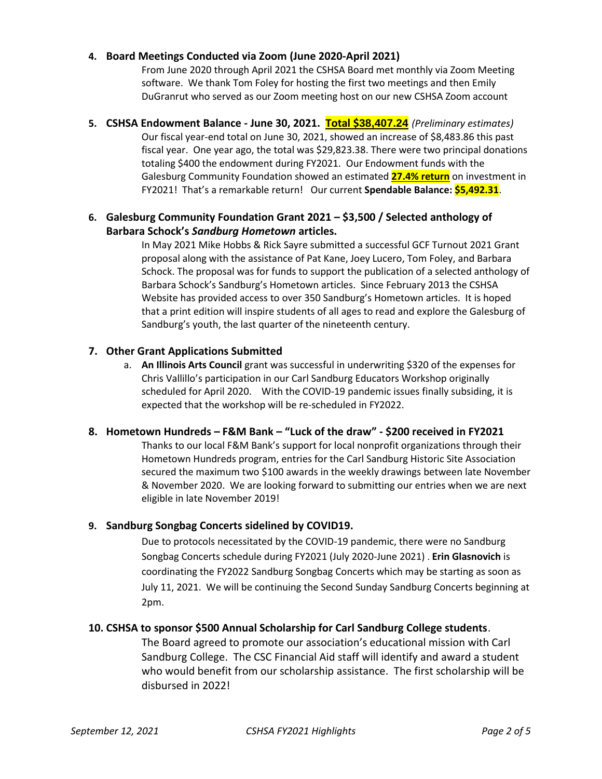#### **4. Board Meetings Conducted via Zoom (June 2020-April 2021)**

From June 2020 through April 2021 the CSHSA Board met monthly via Zoom Meeting software. We thank Tom Foley for hosting the first two meetings and then Emily DuGranrut who served as our Zoom meeting host on our new CSHSA Zoom account

**5. CSHSA Endowment Balance - June 30, 2021. Total \$38,407.24** *(Preliminary estimates)* Our fiscal year-end total on June 30, 2021, showed an increase of \$8,483.86 this past fiscal year. One year ago, the total was \$29,823.38. There were two principal donations totaling \$400 the endowment during FY2021. Our Endowment funds with the Galesburg Community Foundation showed an estimated **27.4% return** on investment in FY2021! That's a remarkable return! Our current **Spendable Balance: \$5,492.31**.

# **6. Galesburg Community Foundation Grant 2021 – \$3,500 / Selected anthology of Barbara Schock's** *Sandburg Hometown* **articles.**

In May 2021 Mike Hobbs & Rick Sayre submitted a successful GCF Turnout 2021 Grant proposal along with the assistance of Pat Kane, Joey Lucero, Tom Foley, and Barbara Schock. The proposal was for funds to support the publication of a selected anthology of Barbara Schock's Sandburg's Hometown articles. Since February 2013 the CSHSA Website has provided access to over 350 Sandburg's Hometown articles. It is hoped that a print edition will inspire students of all ages to read and explore the Galesburg of Sandburg's youth, the last quarter of the nineteenth century.

## **7. Other Grant Applications Submitted**

a. **An Illinois Arts Council** grant was successful in underwriting \$320 of the expenses for Chris Vallillo's participation in our Carl Sandburg Educators Workshop originally scheduled for April 2020. With the COVID-19 pandemic issues finally subsiding, it is expected that the workshop will be re-scheduled in FY2022.

## **8. Hometown Hundreds – F&M Bank – "Luck of the draw" - \$200 received in FY2021**

Thanks to our local F&M Bank's support for local nonprofit organizations through their Hometown Hundreds program, entries for the Carl Sandburg Historic Site Association secured the maximum two \$100 awards in the weekly drawings between late November & November 2020. We are looking forward to submitting our entries when we are next eligible in late November 2019!

## **9. Sandburg Songbag Concerts sidelined by COVID19.**

Due to protocols necessitated by the COVID-19 pandemic, there were no Sandburg Songbag Concerts schedule during FY2021 (July 2020-June 2021) . **Erin Glasnovich** is coordinating the FY2022 Sandburg Songbag Concerts which may be starting as soon as July 11, 2021. We will be continuing the Second Sunday Sandburg Concerts beginning at 2pm.

## **10. CSHSA to sponsor \$500 Annual Scholarship for Carl Sandburg College students**.

The Board agreed to promote our association's educational mission with Carl Sandburg College. The CSC Financial Aid staff will identify and award a student who would benefit from our scholarship assistance. The first scholarship will be disbursed in 2022!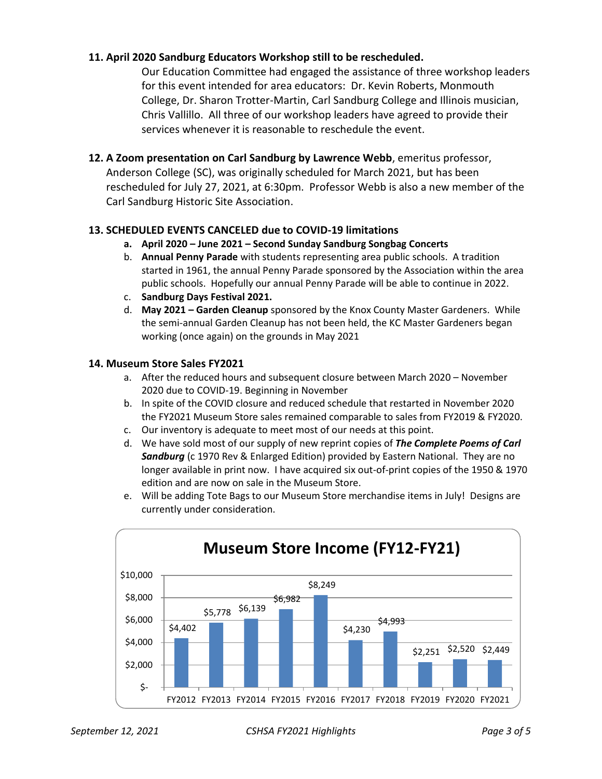# **11. April 2020 Sandburg Educators Workshop still to be rescheduled.**

Our Education Committee had engaged the assistance of three workshop leaders for this event intended for area educators: Dr. Kevin Roberts, Monmouth College, Dr. Sharon Trotter-Martin, Carl Sandburg College and Illinois musician, Chris Vallillo. All three of our workshop leaders have agreed to provide their services whenever it is reasonable to reschedule the event.

**12. A Zoom presentation on Carl Sandburg by Lawrence Webb**, emeritus professor, Anderson College (SC), was originally scheduled for March 2021, but has been rescheduled for July 27, 2021, at 6:30pm. Professor Webb is also a new member of the Carl Sandburg Historic Site Association.

# **13. SCHEDULED EVENTS CANCELED due to COVID-19 limitations**

- **a. April 2020 – June 2021 – Second Sunday Sandburg Songbag Concerts**
- b. **Annual Penny Parade** with students representing area public schools. A tradition started in 1961, the annual Penny Parade sponsored by the Association within the area public schools. Hopefully our annual Penny Parade will be able to continue in 2022.
- c. **Sandburg Days Festival 2021.**
- d. **May 2021 – Garden Cleanup** sponsored by the Knox County Master Gardeners. While the semi-annual Garden Cleanup has not been held, the KC Master Gardeners began working (once again) on the grounds in May 2021

#### **14. Museum Store Sales FY2021**

- a. After the reduced hours and subsequent closure between March 2020 November 2020 due to COVID-19. Beginning in November
- b. In spite of the COVID closure and reduced schedule that restarted in November 2020 the FY2021 Museum Store sales remained comparable to sales from FY2019 & FY2020.
- c. Our inventory is adequate to meet most of our needs at this point.
- d. We have sold most of our supply of new reprint copies of *The Complete Poems of Carl*  **Sandburg** (c 1970 Rev & Enlarged Edition) provided by Eastern National. They are no longer available in print now. I have acquired six out-of-print copies of the 1950 & 1970 edition and are now on sale in the Museum Store.
- e. Will be adding Tote Bags to our Museum Store merchandise items in July! Designs are currently under consideration.

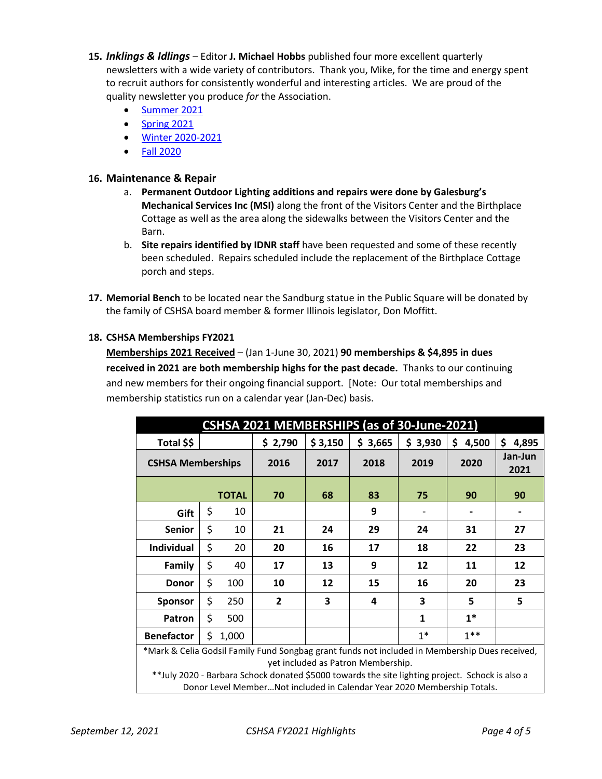- **15.** *Inklings & Idlings* Editor **J. Michael Hobbs** published four more excellent quarterly newsletters with a wide variety of contributors. Thank you, Mike, for the time and energy spent to recruit authors for consistently wonderful and interesting articles. We are proud of the quality newsletter you produce *for* the Association.
	- [Summer 2021](https://www.sandburg.org/Inklings/Inklings_2021_Summer.pdf)
	- [Spring 2021](https://www.sandburg.org/Inklings/Inklings_2021_Spring.pdf)
	- [Winter 2020-2021](https://www.sandburg.org/Inklings/Inklings_2020-2021_Winter.pdf)
	- [Fall 2020](https://www.sandburg.org/Inklings/Inklings_2020_Fall.pdf)

## **16. Maintenance & Repair**

- a. **Permanent Outdoor Lighting additions and repairs were done by Galesburg's Mechanical Services Inc (MSI)** along the front of the Visitors Center and the Birthplace Cottage as well as the area along the sidewalks between the Visitors Center and the Barn.
- b. **Site repairs identified by IDNR staff** have been requested and some of these recently been scheduled. Repairs scheduled include the replacement of the Birthplace Cottage porch and steps.
- **17. Memorial Bench** to be located near the Sandburg statue in the Public Square will be donated by the family of CSHSA board member & former Illinois legislator, Don Moffitt.

# **18. CSHSA Memberships FY2021**

**Memberships 2021 Received** – (Jan 1-June 30, 2021) **90 memberships & \$4,895 in dues received in 2021 are both membership highs for the past decade.** Thanks to our continuing and new members for their ongoing financial support. [Note: Our total memberships and membership statistics run on a calendar year (Jan-Dec) basis.

| CSHSA 2021 MEMBERSHIPS (as of 30-June-2021)                                                                                                                                                                                                                                                                         |    |              |              |         |         |         |             |                 |
|---------------------------------------------------------------------------------------------------------------------------------------------------------------------------------------------------------------------------------------------------------------------------------------------------------------------|----|--------------|--------------|---------|---------|---------|-------------|-----------------|
| Total \$\$                                                                                                                                                                                                                                                                                                          |    |              | \$2,790      | \$3,150 | \$3,665 | \$3,930 | \$<br>4,500 | \$<br>4,895     |
| <b>CSHSA Memberships</b>                                                                                                                                                                                                                                                                                            |    |              | 2016         | 2017    | 2018    | 2019    | 2020        | Jan-Jun<br>2021 |
|                                                                                                                                                                                                                                                                                                                     |    | <b>TOTAL</b> | 70           | 68      | 83      | 75      | 90          | 90              |
| Gift                                                                                                                                                                                                                                                                                                                | \$ | 10           |              |         | 9       |         |             |                 |
| <b>Senior</b>                                                                                                                                                                                                                                                                                                       | \$ | 10           | 21           | 24      | 29      | 24      | 31          | 27              |
| <b>Individual</b>                                                                                                                                                                                                                                                                                                   | \$ | 20           | 20           | 16      | 17      | 18      | 22          | 23              |
| Family                                                                                                                                                                                                                                                                                                              | \$ | 40           | 17           | 13      | 9       | 12      | 11          | 12              |
| <b>Donor</b>                                                                                                                                                                                                                                                                                                        | \$ | 100          | 10           | 12      | 15      | 16      | 20          | 23              |
| <b>Sponsor</b>                                                                                                                                                                                                                                                                                                      | \$ | 250          | $\mathbf{2}$ | 3       | 4       | 3       | 5           | 5               |
| Patron                                                                                                                                                                                                                                                                                                              | \$ | 500          |              |         |         | 1       | $1*$        |                 |
| <b>Benefactor</b>                                                                                                                                                                                                                                                                                                   | \$ | 1,000        |              |         |         | $1*$    | $1**$       |                 |
| *Mark & Celia Godsil Family Fund Songbag grant funds not included in Membership Dues received,<br>yet included as Patron Membership.<br>**July 2020 - Barbara Schock donated \$5000 towards the site lighting project. Schock is also a<br>Donor Level Member Not included in Calendar Year 2020 Membership Totals. |    |              |              |         |         |         |             |                 |